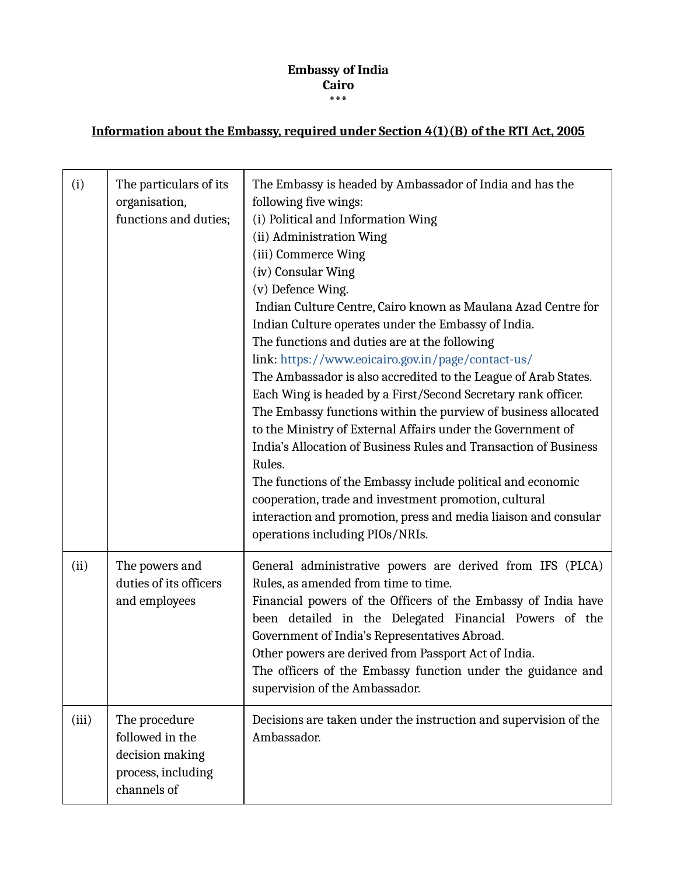## **Embassy of India Cairo \*\*\***

## **Information about the Embassy, required under Section 4(1)(B) of the RTI Act, 2005**

| (i)   | The particulars of its<br>organisation,<br>functions and duties;                         | The Embassy is headed by Ambassador of India and has the<br>following five wings:<br>(i) Political and Information Wing<br>(ii) Administration Wing<br>(iii) Commerce Wing<br>(iv) Consular Wing<br>(v) Defence Wing.<br>Indian Culture Centre, Cairo known as Maulana Azad Centre for<br>Indian Culture operates under the Embassy of India.<br>The functions and duties are at the following<br>link: https://www.eoicairo.gov.in/page/contact-us/<br>The Ambassador is also accredited to the League of Arab States.<br>Each Wing is headed by a First/Second Secretary rank officer.<br>The Embassy functions within the purview of business allocated<br>to the Ministry of External Affairs under the Government of<br>India's Allocation of Business Rules and Transaction of Business<br>Rules.<br>The functions of the Embassy include political and economic<br>cooperation, trade and investment promotion, cultural<br>interaction and promotion, press and media liaison and consular<br>operations including PIOs/NRIs. |
|-------|------------------------------------------------------------------------------------------|---------------------------------------------------------------------------------------------------------------------------------------------------------------------------------------------------------------------------------------------------------------------------------------------------------------------------------------------------------------------------------------------------------------------------------------------------------------------------------------------------------------------------------------------------------------------------------------------------------------------------------------------------------------------------------------------------------------------------------------------------------------------------------------------------------------------------------------------------------------------------------------------------------------------------------------------------------------------------------------------------------------------------------------|
| (ii)  | The powers and<br>duties of its officers<br>and employees                                | General administrative powers are derived from IFS (PLCA)<br>Rules, as amended from time to time.<br>Financial powers of the Officers of the Embassy of India have<br>been detailed in the Delegated Financial Powers of the<br>Government of India's Representatives Abroad.<br>Other powers are derived from Passport Act of India.<br>The officers of the Embassy function under the guidance and<br>supervision of the Ambassador.                                                                                                                                                                                                                                                                                                                                                                                                                                                                                                                                                                                                |
| (iii) | The procedure<br>followed in the<br>decision making<br>process, including<br>channels of | Decisions are taken under the instruction and supervision of the<br>Ambassador.                                                                                                                                                                                                                                                                                                                                                                                                                                                                                                                                                                                                                                                                                                                                                                                                                                                                                                                                                       |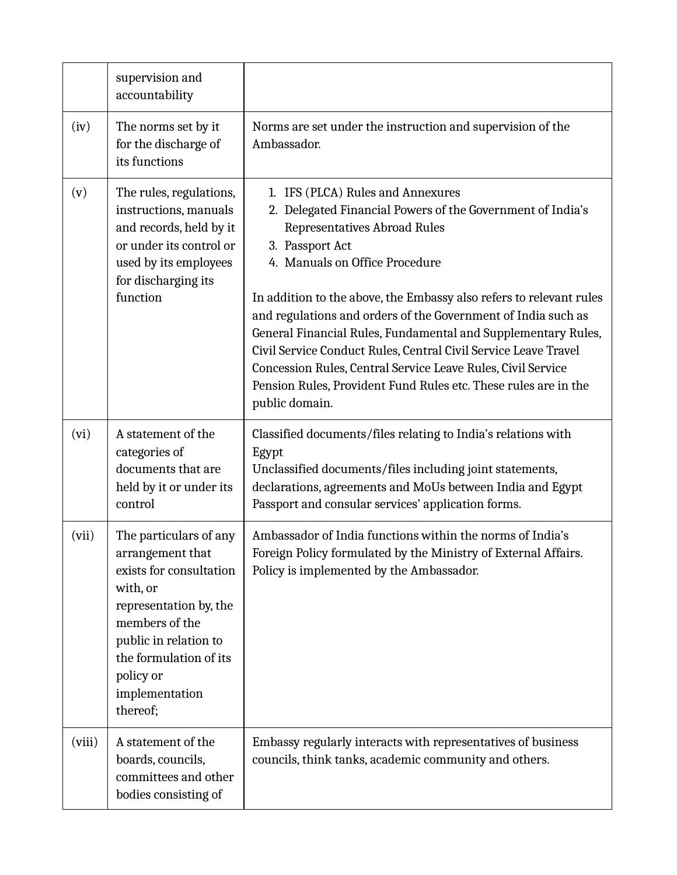|        | supervision and<br>accountability                                                                                                                                                                                           |                                                                                                                                                                                                                                                                                                                                                                                                                                                                                                                                                                                                                       |
|--------|-----------------------------------------------------------------------------------------------------------------------------------------------------------------------------------------------------------------------------|-----------------------------------------------------------------------------------------------------------------------------------------------------------------------------------------------------------------------------------------------------------------------------------------------------------------------------------------------------------------------------------------------------------------------------------------------------------------------------------------------------------------------------------------------------------------------------------------------------------------------|
| (iv)   | The norms set by it<br>for the discharge of<br>its functions                                                                                                                                                                | Norms are set under the instruction and supervision of the<br>Ambassador.                                                                                                                                                                                                                                                                                                                                                                                                                                                                                                                                             |
| (v)    | The rules, regulations,<br>instructions, manuals<br>and records, held by it<br>or under its control or<br>used by its employees<br>for discharging its<br>function                                                          | 1. IFS (PLCA) Rules and Annexures<br>2. Delegated Financial Powers of the Government of India's<br>Representatives Abroad Rules<br>3. Passport Act<br>4. Manuals on Office Procedure<br>In addition to the above, the Embassy also refers to relevant rules<br>and regulations and orders of the Government of India such as<br>General Financial Rules, Fundamental and Supplementary Rules,<br>Civil Service Conduct Rules, Central Civil Service Leave Travel<br>Concession Rules, Central Service Leave Rules, Civil Service<br>Pension Rules, Provident Fund Rules etc. These rules are in the<br>public domain. |
| (vi)   | A statement of the<br>categories of<br>documents that are<br>held by it or under its<br>control                                                                                                                             | Classified documents/files relating to India's relations with<br>Egypt<br>Unclassified documents/files including joint statements,<br>declarations, agreements and MoUs between India and Egypt<br>Passport and consular services' application forms.                                                                                                                                                                                                                                                                                                                                                                 |
| (vii)  | The particulars of any<br>arrangement that<br>exists for consultation<br>with, or<br>representation by, the<br>members of the<br>public in relation to<br>the formulation of its<br>policy or<br>implementation<br>thereof; | Ambassador of India functions within the norms of India's<br>Foreign Policy formulated by the Ministry of External Affairs.<br>Policy is implemented by the Ambassador.                                                                                                                                                                                                                                                                                                                                                                                                                                               |
| (viii) | A statement of the<br>boards, councils,<br>committees and other<br>bodies consisting of                                                                                                                                     | Embassy regularly interacts with representatives of business<br>councils, think tanks, academic community and others.                                                                                                                                                                                                                                                                                                                                                                                                                                                                                                 |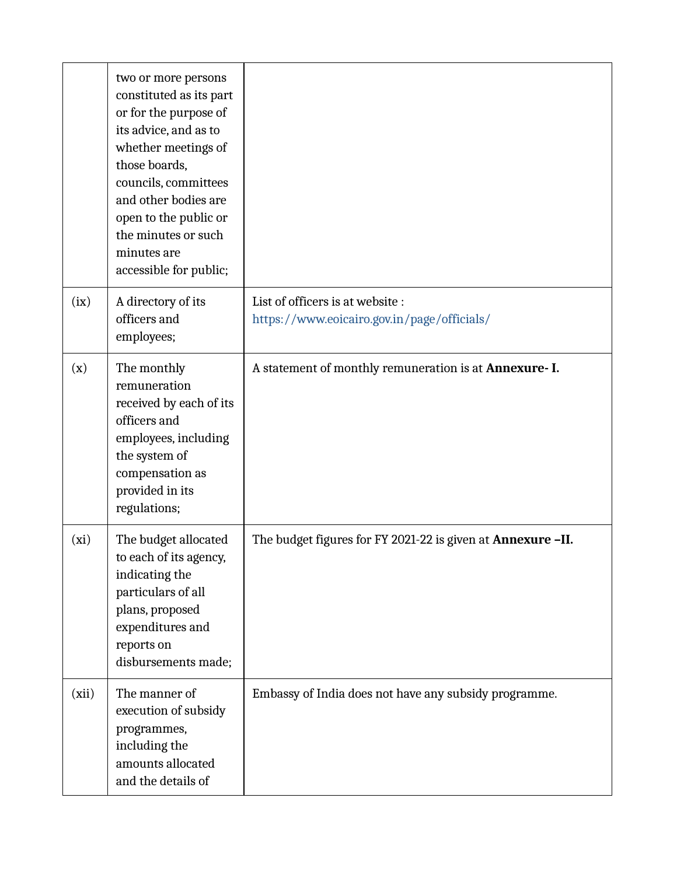|       | two or more persons<br>constituted as its part<br>or for the purpose of<br>its advice, and as to<br>whether meetings of<br>those boards,<br>councils, committees<br>and other bodies are<br>open to the public or<br>the minutes or such<br>minutes are<br>accessible for public; |                                                                                 |
|-------|-----------------------------------------------------------------------------------------------------------------------------------------------------------------------------------------------------------------------------------------------------------------------------------|---------------------------------------------------------------------------------|
| (ix)  | A directory of its<br>officers and<br>employees;                                                                                                                                                                                                                                  | List of officers is at website :<br>https://www.eoicairo.gov.in/page/officials/ |
| (x)   | The monthly<br>remuneration<br>received by each of its<br>officers and<br>employees, including<br>the system of<br>compensation as<br>provided in its<br>regulations;                                                                                                             | A statement of monthly remuneration is at Annexure- I.                          |
| (xi)  | The budget allocated<br>to each of its agency,<br>indicating the<br>particulars of all<br>plans, proposed<br>expenditures and<br>reports on<br>disbursements made;                                                                                                                | The budget figures for FY 2021-22 is given at Annexure -II.                     |
| (xii) | The manner of<br>execution of subsidy<br>programmes,<br>including the<br>amounts allocated<br>and the details of                                                                                                                                                                  | Embassy of India does not have any subsidy programme.                           |